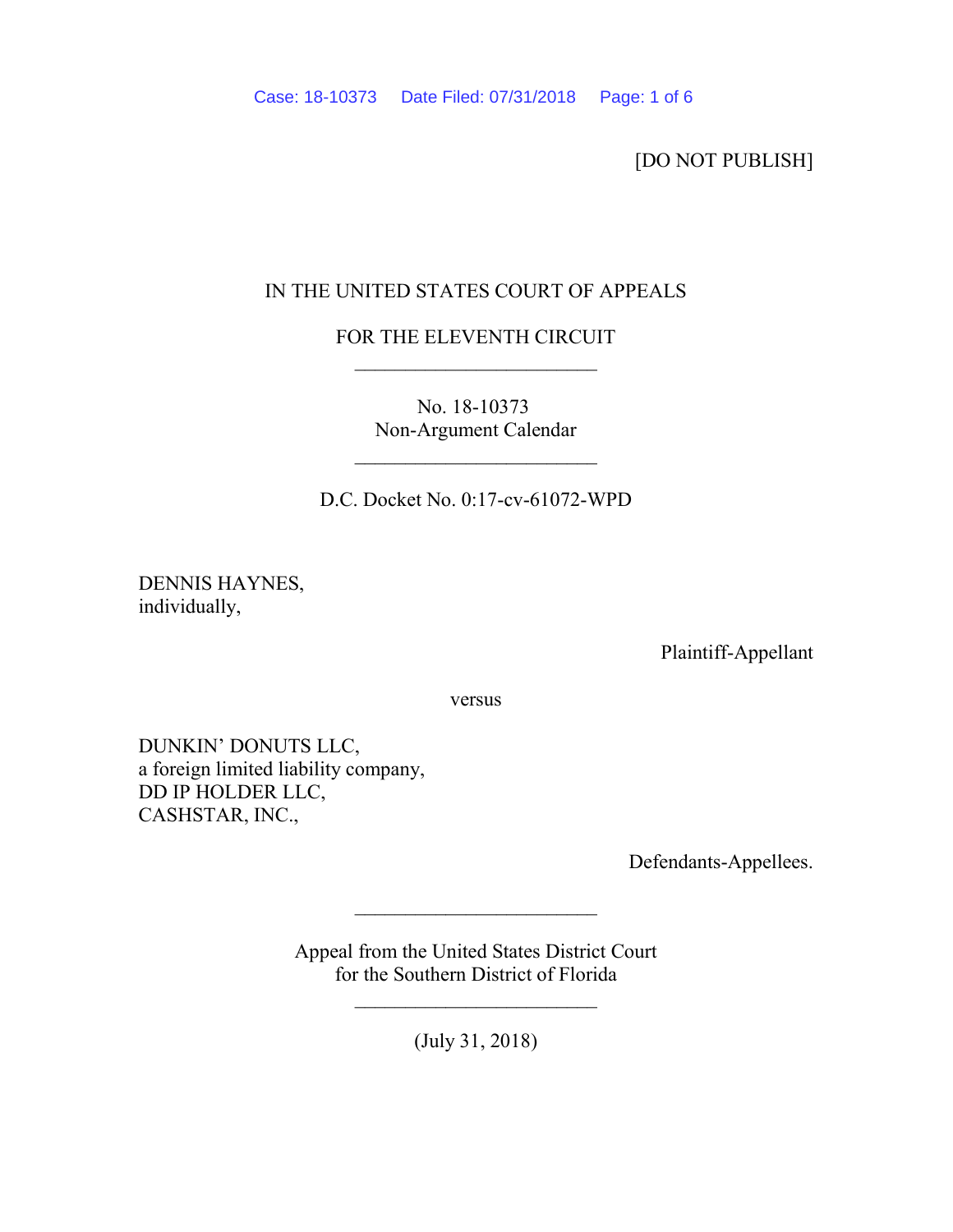[DO NOT PUBLISH]

## IN THE UNITED STATES COURT OF APPEALS

## FOR THE ELEVENTH CIRCUIT

No. 18-10373 Non-Argument Calendar

D.C. Docket No. 0:17-cv-61072-WPD

 $\mathcal{L}_\text{max}$  and  $\mathcal{L}_\text{max}$  and  $\mathcal{L}_\text{max}$ 

DENNIS HAYNES, individually,

Plaintiff-Appellant

versus

DUNKIN' DONUTS LLC, a foreign limited liability company, DD IP HOLDER LLC, CASHSTAR, INC.,

Defendants-Appellees.

Appeal from the United States District Court for the Southern District of Florida

 $\mathcal{L}_\text{max}$  and  $\mathcal{L}_\text{max}$  and  $\mathcal{L}_\text{max}$ 

(July 31, 2018)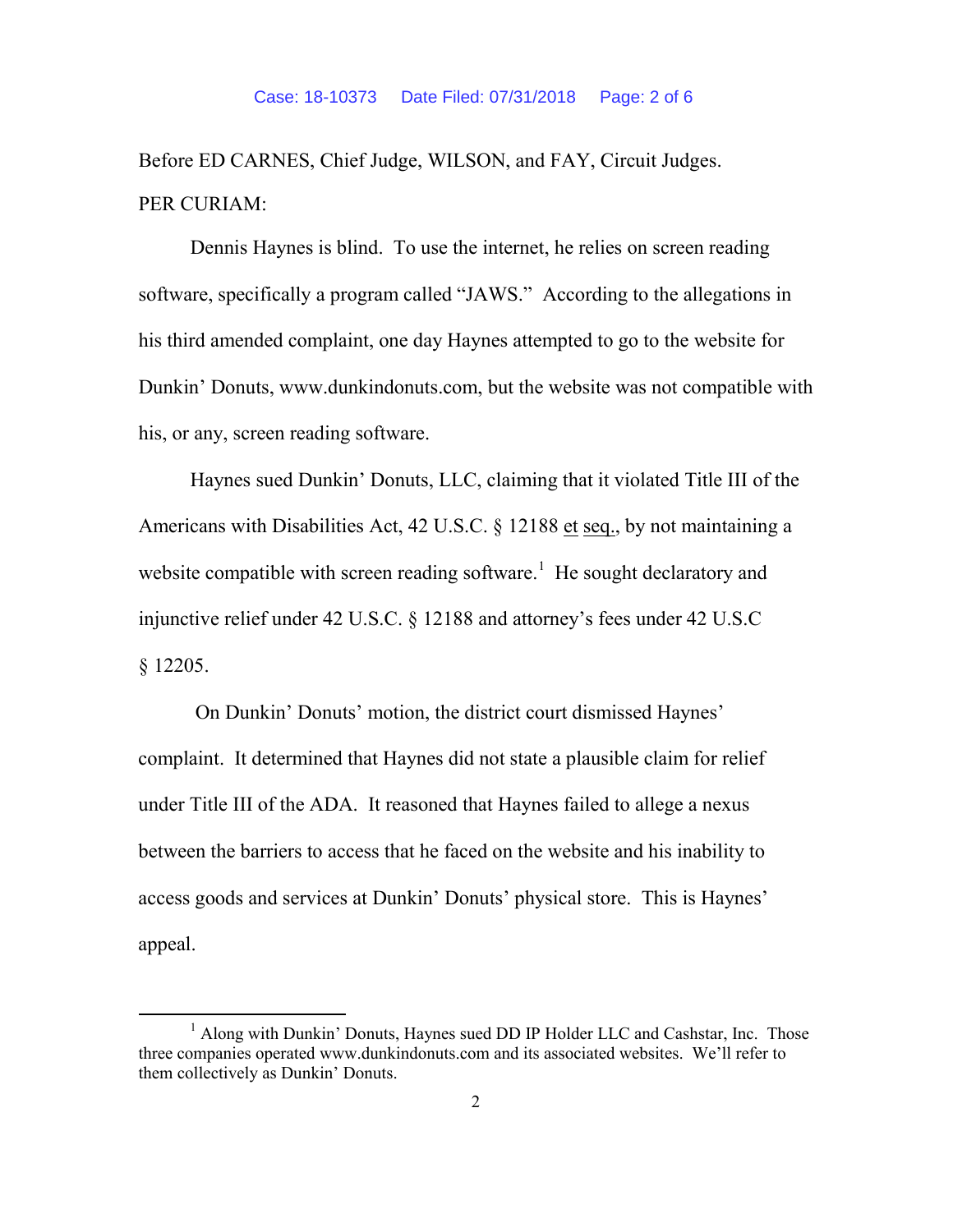Before ED CARNES, Chief Judge, WILSON, and FAY, Circuit Judges. PER CURIAM:

Dennis Haynes is blind. To use the internet, he relies on screen reading software, specifically a program called "JAWS." According to the allegations in his third amended complaint, one day Haynes attempted to go to the website for Dunkin' Donuts, www.dunkindonuts.com, but the website was not compatible with his, or any, screen reading software.

Haynes sued Dunkin' Donuts, LLC, claiming that it violated Title III of the Americans with Disabilities Act, 42 U.S.C. § 12188 et seq., by not maintaining a website compatible with screen reading software.<sup>1</sup> He sought declaratory and injunctive relief under 42 U.S.C. § 12188 and attorney's fees under 42 U.S.C § 12205.

On Dunkin' Donuts' motion, the district court dismissed Haynes' complaint. It determined that Haynes did not state a plausible claim for relief under Title III of the ADA. It reasoned that Haynes failed to allege a nexus between the barriers to access that he faced on the website and his inability to access goods and services at Dunkin' Donuts' physical store. This is Haynes' appeal.

<sup>&</sup>lt;sup>1</sup> Along with Dunkin' Donuts, Haynes sued DD IP Holder LLC and Cashstar, Inc. Those three companies operated www.dunkindonuts.com and its associated websites. We'll refer to them collectively as Dunkin' Donuts.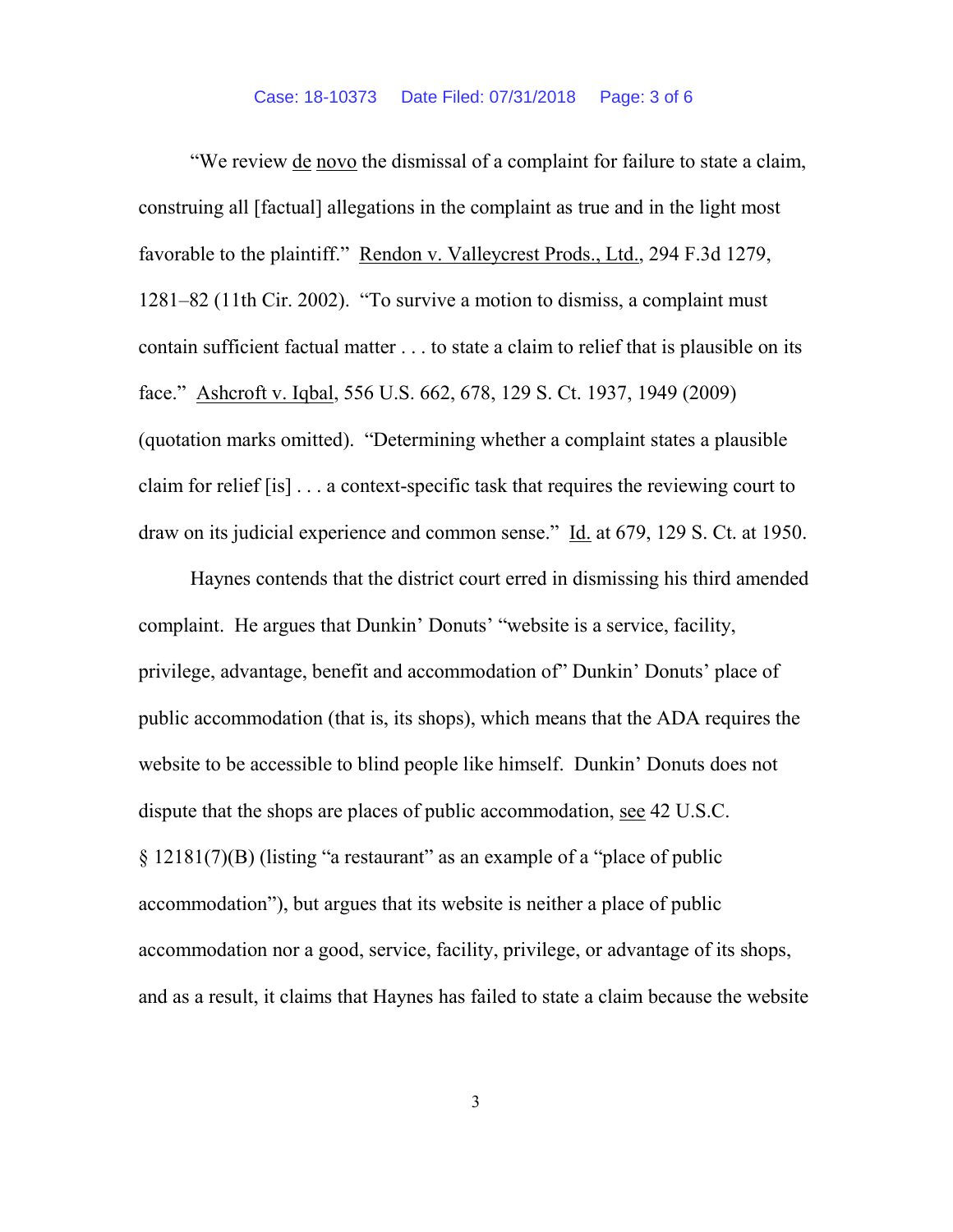"We review de novo the dismissal of a complaint for failure to state a claim, construing all [factual] allegations in the complaint as true and in the light most favorable to the plaintiff." Rendon v. Valleycrest Prods., Ltd., 294 F.3d 1279, 1281–82 (11th Cir. 2002). "To survive a motion to dismiss, a complaint must contain sufficient factual matter . . . to state a claim to relief that is plausible on its face." Ashcroft v. Iqbal, 556 U.S. 662, 678, 129 S. Ct. 1937, 1949 (2009) (quotation marks omitted). "Determining whether a complaint states a plausible claim for relief [is] . . . a context-specific task that requires the reviewing court to draw on its judicial experience and common sense." Id. at 679, 129 S. Ct. at 1950.

Haynes contends that the district court erred in dismissing his third amended complaint. He argues that Dunkin' Donuts' "website is a service, facility, privilege, advantage, benefit and accommodation of" Dunkin' Donuts' place of public accommodation (that is, its shops), which means that the ADA requires the website to be accessible to blind people like himself. Dunkin' Donuts does not dispute that the shops are places of public accommodation, see 42 U.S.C. § 12181(7)(B) (listing "a restaurant" as an example of a "place of public accommodation"), but argues that its website is neither a place of public accommodation nor a good, service, facility, privilege, or advantage of its shops, and as a result, it claims that Haynes has failed to state a claim because the website

3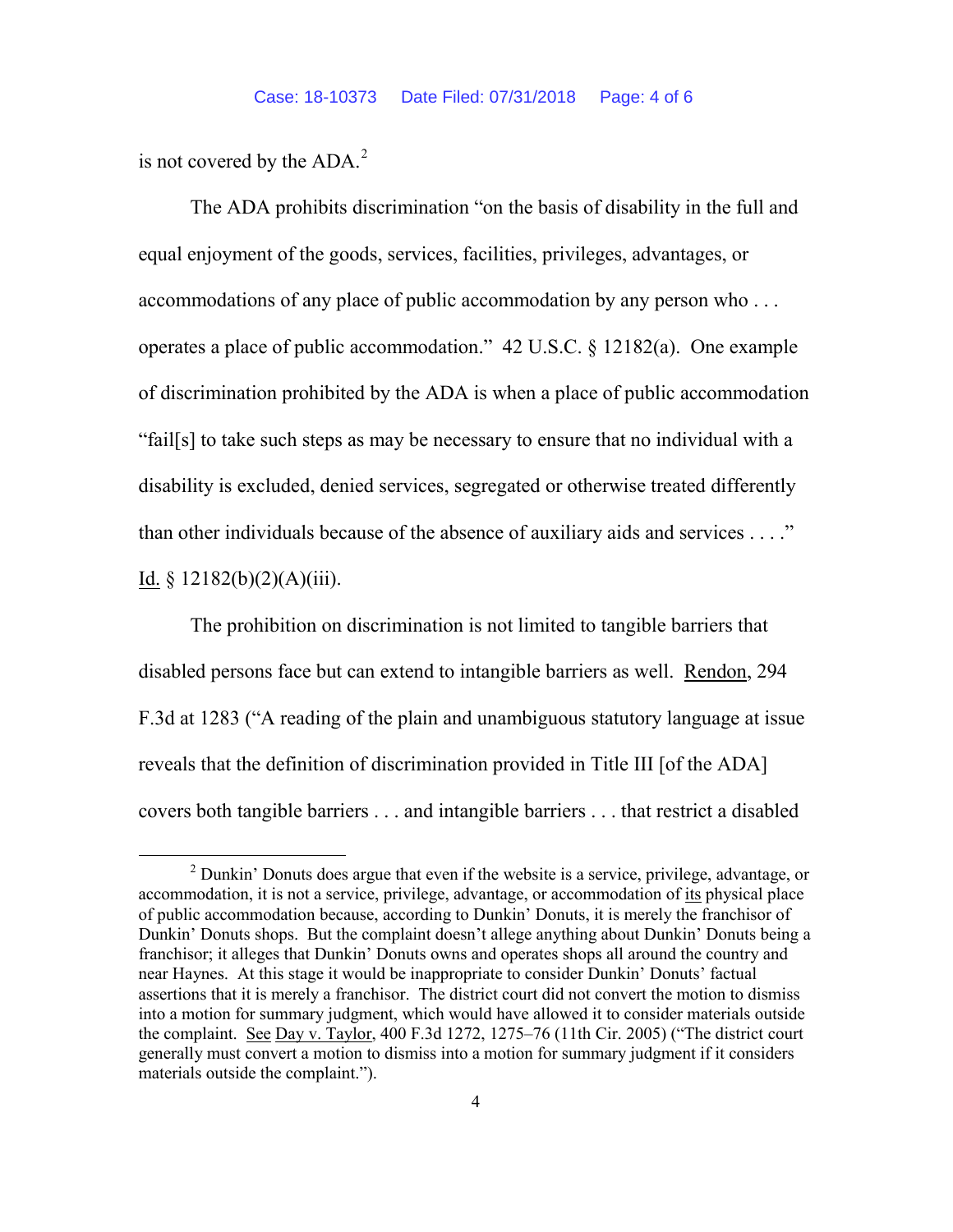is not covered by the  $ADA<sup>2</sup>$ .

The ADA prohibits discrimination "on the basis of disability in the full and equal enjoyment of the goods, services, facilities, privileges, advantages, or accommodations of any place of public accommodation by any person who . . . operates a place of public accommodation." 42 U.S.C. § 12182(a). One example of discrimination prohibited by the ADA is when a place of public accommodation "fail[s] to take such steps as may be necessary to ensure that no individual with a disability is excluded, denied services, segregated or otherwise treated differently than other individuals because of the absence of auxiliary aids and services . . . ." Id.  $§ 12182(b)(2)(A)(iii)$ .

The prohibition on discrimination is not limited to tangible barriers that disabled persons face but can extend to intangible barriers as well. Rendon, 294 F.3d at 1283 ("A reading of the plain and unambiguous statutory language at issue reveals that the definition of discrimination provided in Title III [of the ADA] covers both tangible barriers . . . and intangible barriers . . . that restrict a disabled

 <sup>2</sup> Dunkin' Donuts does argue that even if the website is a service, privilege, advantage, or accommodation, it is not a service, privilege, advantage, or accommodation of its physical place of public accommodation because, according to Dunkin' Donuts, it is merely the franchisor of Dunkin' Donuts shops. But the complaint doesn't allege anything about Dunkin' Donuts being a franchisor; it alleges that Dunkin' Donuts owns and operates shops all around the country and near Haynes. At this stage it would be inappropriate to consider Dunkin' Donuts' factual assertions that it is merely a franchisor. The district court did not convert the motion to dismiss into a motion for summary judgment, which would have allowed it to consider materials outside the complaint. See Day v. Taylor, 400 F.3d 1272, 1275–76 (11th Cir. 2005) ("The district court generally must convert a motion to dismiss into a motion for summary judgment if it considers materials outside the complaint.").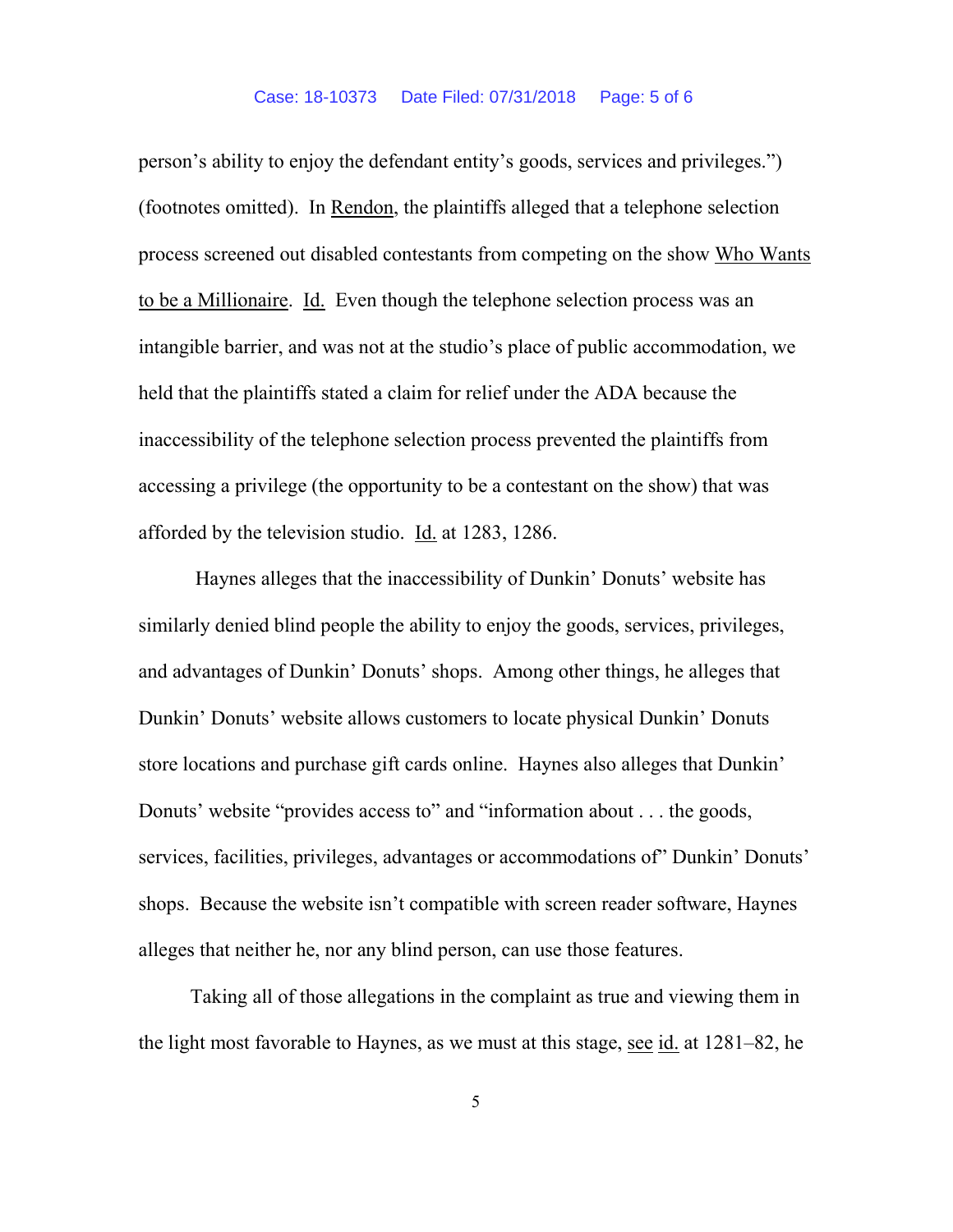person's ability to enjoy the defendant entity's goods, services and privileges.") (footnotes omitted). In Rendon, the plaintiffs alleged that a telephone selection process screened out disabled contestants from competing on the show Who Wants to be a Millionaire. Id. Even though the telephone selection process was an intangible barrier, and was not at the studio's place of public accommodation, we held that the plaintiffs stated a claim for relief under the ADA because the inaccessibility of the telephone selection process prevented the plaintiffs from accessing a privilege (the opportunity to be a contestant on the show) that was afforded by the television studio. Id. at 1283, 1286.

Haynes alleges that the inaccessibility of Dunkin' Donuts' website has similarly denied blind people the ability to enjoy the goods, services, privileges, and advantages of Dunkin' Donuts' shops. Among other things, he alleges that Dunkin' Donuts' website allows customers to locate physical Dunkin' Donuts store locations and purchase gift cards online. Haynes also alleges that Dunkin' Donuts' website "provides access to" and "information about . . . the goods, services, facilities, privileges, advantages or accommodations of" Dunkin' Donuts' shops. Because the website isn't compatible with screen reader software, Haynes alleges that neither he, nor any blind person, can use those features.

Taking all of those allegations in the complaint as true and viewing them in the light most favorable to Haynes, as we must at this stage, see id. at 1281–82, he